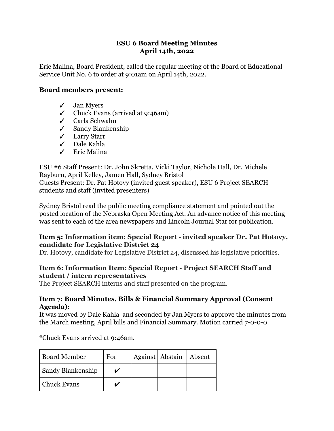# **ESU 6 Board Meeting Minutes April 14th, 2022**

Eric Malina, Board President, called the regular meeting of the Board of Educational Service Unit No. 6 to order at 9:01am on April 14th, 2022.

# **Board members present:**

- ✓ Jan Myers
- $\checkmark$  Chuck Evans (arrived at 9:46am)
- ✓ Carla Schwahn
- ✓ Sandy Blankenship
- ✓ Larry Starr
- ✓ Dale Kahla
- ✓ Eric Malina

ESU #6 Staff Present: Dr. John Skretta, Vicki Taylor, Nichole Hall, Dr. Michele Rayburn, April Kelley, Jamen Hall, Sydney Bristol Guests Present: Dr. Pat Hotovy (invited guest speaker), ESU 6 Project SEARCH students and staff (invited presenters)

Sydney Bristol read the public meeting compliance statement and pointed out the posted location of the Nebraska Open Meeting Act. An advance notice of this meeting was sent to each of the area newspapers and Lincoln Journal Star for publication.

# **Item 5: Information item: Special Report - invited speaker Dr. Pat Hotovy, candidate for Legislative District 24**

Dr. Hotovy, candidate for Legislative District 24, discussed his legislative priorities.

#### **Item 6: Information Item: Special Report - Project SEARCH Staff and student / intern representatives**

The Project SEARCH interns and staff presented on the program.

#### **Item 7: Board Minutes, Bills & Financial Summary Approval (Consent Agenda):**

It was moved by Dale Kahla and seconded by Jan Myers to approve the minutes from the March meeting, April bills and Financial Summary. Motion carried 7-0-0-0.

\*Chuck Evans arrived at 9:46am.

| <b>Board Member</b>      | For | Against Abstain Absent |  |
|--------------------------|-----|------------------------|--|
| <b>Sandy Blankenship</b> |     |                        |  |
| Chuck Evans              |     |                        |  |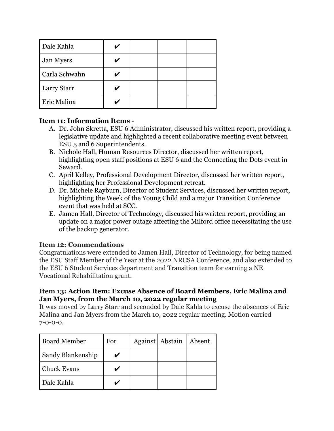| Dale Kahla    |  |  |
|---------------|--|--|
| Jan Myers     |  |  |
| Carla Schwahn |  |  |
| Larry Starr   |  |  |
| Eric Malina   |  |  |

# **Item 11: Information Items** -

- A. Dr. John Skretta, ESU 6 Administrator, discussed his written report, providing a legislative update and highlighted a recent collaborative meeting event between ESU 5 and 6 Superintendents.
- B. Nichole Hall, Human Resources Director, discussed her written report, highlighting open staff positions at ESU 6 and the Connecting the Dots event in Seward.
- C. April Kelley, Professional Development Director, discussed her written report, highlighting her Professional Development retreat.
- D. Dr. Michele Rayburn, Director of Student Services, discussed her written report, highlighting the Week of the Young Child and a major Transition Conference event that was held at SCC.
- E. Jamen Hall, Director of Technology, discussed his written report, providing an update on a major power outage affecting the Milford office necessitating the use of the backup generator.

# **Item 12: Commendations**

Congratulations were extended to Jamen Hall, Director of Technology, for being named the ESU Staff Member of the Year at the 2022 NRCSA Conference, and also extended to the ESU 6 Student Services department and Transition team for earning a NE Vocational Rehabilitation grant.

# **Item 13: Action Item: Excuse Absence of Board Members, Eric Malina and Jan Myers, from the March 10, 2022 regular meeting**

It was moved by Larry Starr and seconded by Dale Kahla to excuse the absences of Eric Malina and Jan Myers from the March 10, 2022 regular meeting. Motion carried 7-0-0-0.

| <b>Board Member</b>      | For | Against Abstain | Absent |
|--------------------------|-----|-----------------|--------|
| <b>Sandy Blankenship</b> |     |                 |        |
| <b>Chuck Evans</b>       |     |                 |        |
| Dale Kahla               |     |                 |        |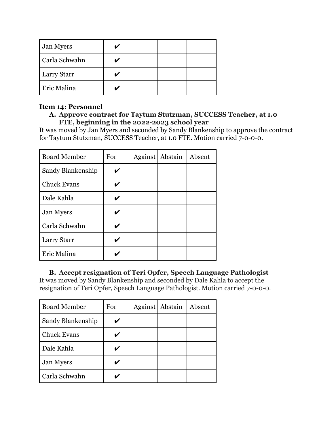| Jan Myers     |  |  |
|---------------|--|--|
| Carla Schwahn |  |  |
| Larry Starr   |  |  |
| Eric Malina   |  |  |

## **Item 14: Personnel**

## **A. Approve contract for Taytum Stutzman, SUCCESS Teacher, at 1.0 FTE, beginning in the 2022-2023 school year**

It was moved by Jan Myers and seconded by Sandy Blankenship to approve the contract for Taytum Stutzman, SUCCESS Teacher, at 1.0 FTE. Motion carried 7-0-0-0.

| <b>Board Member</b> | For | Against   Abstain | Absent |
|---------------------|-----|-------------------|--------|
| Sandy Blankenship   |     |                   |        |
| <b>Chuck Evans</b>  |     |                   |        |
| Dale Kahla          |     |                   |        |
| <b>Jan Myers</b>    |     |                   |        |
| Carla Schwahn       |     |                   |        |
| Larry Starr         |     |                   |        |
| Eric Malina         |     |                   |        |

# **B. Accept resignation of Teri Opfer, Speech Language Pathologist**

It was moved by Sandy Blankenship and seconded by Dale Kahla to accept the resignation of Teri Opfer, Speech Language Pathologist. Motion carried 7-0-0-0.

| <b>Board Member</b> | For | Against | Abstain | Absent |
|---------------------|-----|---------|---------|--------|
| Sandy Blankenship   |     |         |         |        |
| <b>Chuck Evans</b>  |     |         |         |        |
| Dale Kahla          |     |         |         |        |
| <b>Jan Myers</b>    |     |         |         |        |
| Carla Schwahn       |     |         |         |        |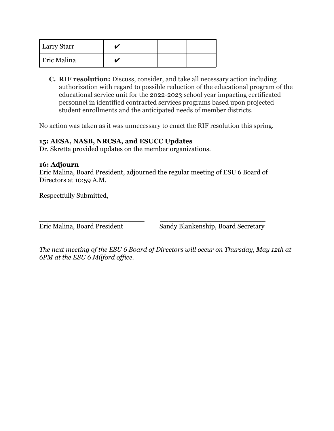| <b>Larry Starr</b> |  |  |
|--------------------|--|--|
| <b>Eric Malina</b> |  |  |

**C. RIF resolution:** Discuss, consider, and take all necessary action including authorization with regard to possible reduction of the educational program of the educational service unit for the 2022-2023 school year impacting certificated personnel in identified contracted services programs based upon projected student enrollments and the anticipated needs of member districts.

No action was taken as it was unnecessary to enact the RIF resolution this spring.

# **15: AESA, NASB, NRCSA, and ESUCC Updates**

Dr. Skretta provided updates on the member organizations.

# **16: Adjourn**

Eric Malina, Board President, adjourned the regular meeting of ESU 6 Board of Directors at 10:59 A.M.

Respectfully Submitted,

\_\_\_\_\_\_\_\_\_\_\_\_\_\_\_\_\_\_\_\_\_\_\_\_\_ \_\_\_\_\_\_\_\_\_\_\_\_\_\_\_\_\_\_\_\_\_\_\_\_\_ Eric Malina, Board President Sandy Blankenship, Board Secretary

*The next meeting of the ESU 6 Board of Directors will occur on Thursday, May 12th at 6PM at the ESU 6 Milford office.*